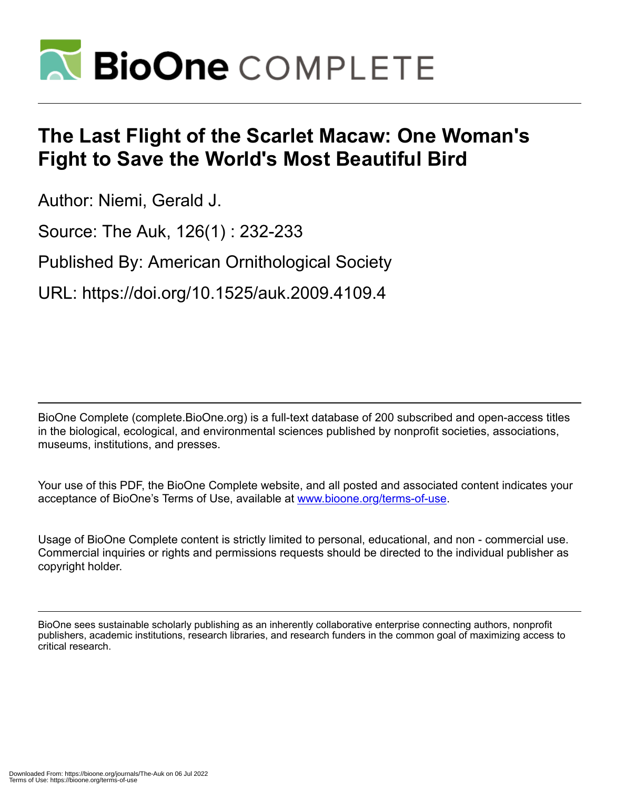

## **The Last Flight of the Scarlet Macaw: One Woman's Fight to Save the World's Most Beautiful Bird**

Author: Niemi, Gerald J.

Source: The Auk, 126(1) : 232-233

Published By: American Ornithological Society

URL: https://doi.org/10.1525/auk.2009.4109.4

BioOne Complete (complete.BioOne.org) is a full-text database of 200 subscribed and open-access titles in the biological, ecological, and environmental sciences published by nonprofit societies, associations, museums, institutions, and presses.

Your use of this PDF, the BioOne Complete website, and all posted and associated content indicates your acceptance of BioOne's Terms of Use, available at www.bioone.org/terms-of-use.

Usage of BioOne Complete content is strictly limited to personal, educational, and non - commercial use. Commercial inquiries or rights and permissions requests should be directed to the individual publisher as copyright holder.

BioOne sees sustainable scholarly publishing as an inherently collaborative enterprise connecting authors, nonprofit publishers, academic institutions, research libraries, and research funders in the common goal of maximizing access to critical research.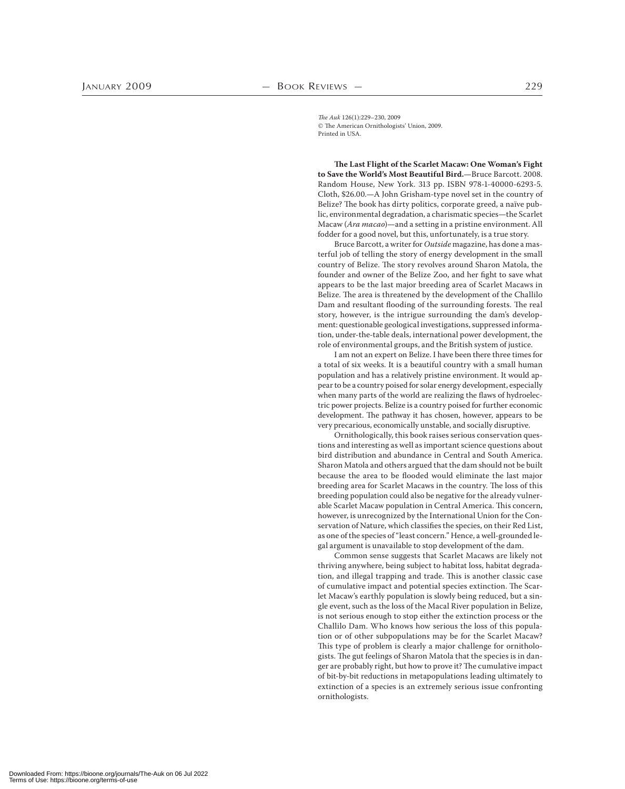The Auk 126(1):229–230, 2009 The American Ornithologists' Union, 2009. Printed in USA.

**The Last Flight of the Scarlet Macaw: One Woman's Fight**  to Save the World's Most Beautiful Bird.-Bruce Barcott. 2008. Random House, New York. 313 pp. ISBN 978-1-40000-6293-5. Cloth, \$26.00.—A John Grisham-type novel set in the country of Belize? The book has dirty politics, corporate greed, a naïve public, environmental degradation, a charismatic species—the Scarlet Macaw (Ara macao)—and a setting in a pristine environment. All fodder for a good novel, but this, unfortunately, is a true story.

Bruce Barcott, a writer for Outside magazine, has done a masterful job of telling the story of energy development in the small country of Belize. The story revolves around Sharon Matola, the founder and owner of the Belize Zoo, and her fight to save what appears to be the last major breeding area of Scarlet Macaws in Belize. The area is threatened by the development of the Challilo Dam and resultant flooding of the surrounding forests. The real story, however, is the intrigue surrounding the dam's development: questionable geological investigations, suppressed information, under-the-table deals, international power development, the role of environmental groups, and the British system of justice.

I am not an expert on Belize. I have been there three times for a total of six weeks. It is a beautiful country with a small human population and has a relatively pristine environment. It would appear to be a country poised for solar energy development, especially when many parts of the world are realizing the flaws of hydroelectric power projects. Belize is a country poised for further economic development. The pathway it has chosen, however, appears to be very precarious, economically unstable, and socially disruptive.

Ornithologically, this book raises serious conservation questions and interesting as well as important science questions about bird distribution and abundance in Central and South America. Sharon Matola and others argued that the dam should not be built because the area to be flooded would eliminate the last major breeding area for Scarlet Macaws in the country. The loss of this breeding population could also be negative for the already vulnerable Scarlet Macaw population in Central America. This concern, however, is unrecognized by the International Union for the Conservation of Nature, which classifies the species, on their Red List, as one of the species of "least concern." Hence, a well-grounded legal argument is unavailable to stop development of the dam.

Common sense suggests that Scarlet Macaws are likely not thriving anywhere, being subject to habitat loss, habitat degradation, and illegal trapping and trade. This is another classic case of cumulative impact and potential species extinction. The Scarlet Macaw's earthly population is slowly being reduced, but a single event, such as the loss of the Macal River population in Belize, is not serious enough to stop either the extinction process or the Challilo Dam. Who knows how serious the loss of this population or of other subpopulations may be for the Scarlet Macaw? This type of problem is clearly a major challenge for ornithologists. The gut feelings of Sharon Matola that the species is in danger are probably right, but how to prove it? The cumulative impact of bit-by-bit reductions in metapopulations leading ultimately to extinction of a species is an extremely serious issue confronting ornithologists.